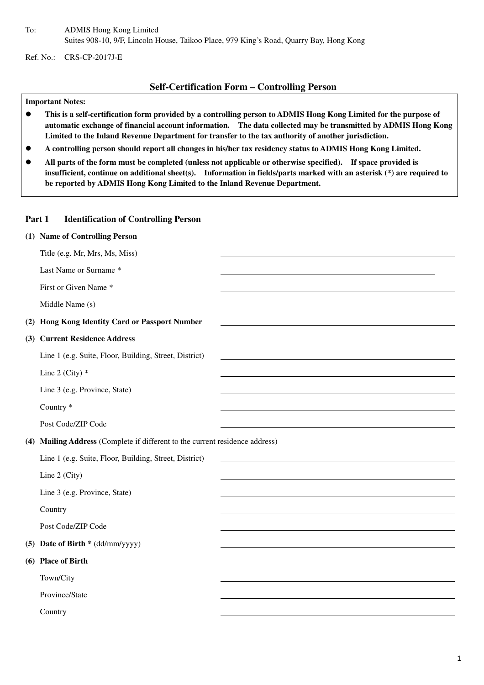To: ADMIS Hong Kong Limited Suites 908-10, 9/F, Lincoln House, Taikoo Place, 979 King's Road, Quarry Bay, Hong Kong

Ref. No.: CRS-CP-2017J-E

### **Self-Certification Form – Controlling Person**

#### **Important Notes:**

- **This is a self-certification form provided by a controlling person to ADMIS Hong Kong Limited for the purpose of automatic exchange of financial account information. The data collected may be transmitted by ADMIS Hong Kong Limited to the Inland Revenue Department for transfer to the tax authority of another jurisdiction.**
- **A controlling person should report all changes in his/her tax residency status to ADMIS Hong Kong Limited.**
- **All parts of the form must be completed (unless not applicable or otherwise specified). If space provided is insufficient, continue on additional sheet(s). Information in fields/parts marked with an asterisk (\*) are required to be reported by ADMIS Hong Kong Limited to the Inland Revenue Department.**

#### **Part 1 Identification of Controlling Person**

|     | (1) Name of Controlling Person                                               |  |
|-----|------------------------------------------------------------------------------|--|
|     | Title (e.g. Mr, Mrs, Ms, Miss)                                               |  |
|     | Last Name or Surname *                                                       |  |
|     | First or Given Name *                                                        |  |
|     | Middle Name (s)                                                              |  |
| (2) | Hong Kong Identity Card or Passport Number                                   |  |
|     | (3) Current Residence Address                                                |  |
|     | Line 1 (e.g. Suite, Floor, Building, Street, District)                       |  |
|     | Line 2 (City) $*$                                                            |  |
|     | Line 3 (e.g. Province, State)                                                |  |
|     | Country <sup>*</sup>                                                         |  |
|     | Post Code/ZIP Code                                                           |  |
|     | (4) Mailing Address (Complete if different to the current residence address) |  |
|     | Line 1 (e.g. Suite, Floor, Building, Street, District)                       |  |
|     | Line 2 (City)                                                                |  |
|     | Line 3 (e.g. Province, State)                                                |  |
|     | Country                                                                      |  |
|     | Post Code/ZIP Code                                                           |  |
|     | (5) Date of Birth * (dd/mm/yyyy)                                             |  |
|     | (6) Place of Birth                                                           |  |
|     | Town/City                                                                    |  |
|     | Province/State                                                               |  |
|     | Country                                                                      |  |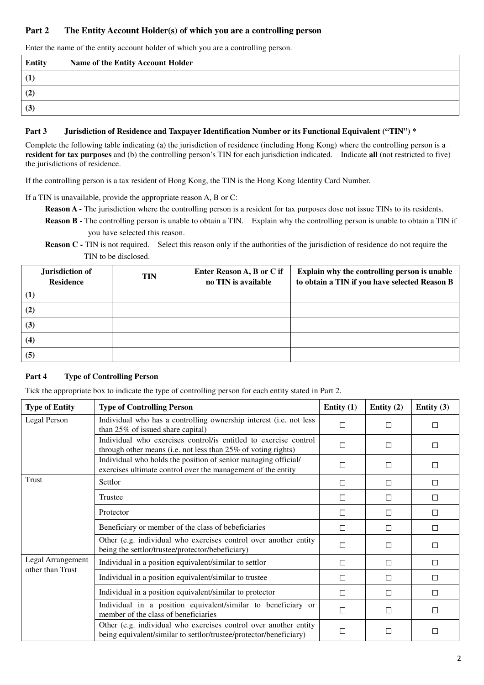# **Part 2 The Entity Account Holder(s) of which you are a controlling person**

Enter the name of the entity account holder of which you are a controlling person.

| <b>Entity</b> | Name of the Entity Account Holder |
|---------------|-----------------------------------|
| (1)           |                                   |
| (2)           |                                   |
| (3)           |                                   |

#### **Part 3 Jurisdiction of Residence and Taxpayer Identification Number or its Functional Equivalent ("TIN") \***

Complete the following table indicating (a) the jurisdiction of residence (including Hong Kong) where the controlling person is a **resident for tax purposes** and (b) the controlling person's TIN for each jurisdiction indicated. Indicate **all** (not restricted to five) the jurisdictions of residence.

If the controlling person is a tax resident of Hong Kong, the TIN is the Hong Kong Identity Card Number.

If a TIN is unavailable, provide the appropriate reason A, B or C:

- **Reason A** The jurisdiction where the controlling person is a resident for tax purposes dose not issue TINs to its residents.
- **Reason B** The controlling person is unable to obtain a TIN. Explain why the controlling person is unable to obtain a TIN if you have selected this reason.
- **Reason C TIN** is not required. Select this reason only if the authorities of the jurisdiction of residence do not require the TIN to be disclosed.

| Jurisdiction of<br><b>Residence</b> | <b>TIN</b> | Enter Reason A, B or C if<br>no TIN is available | Explain why the controlling person is unable<br>to obtain a TIN if you have selected Reason B |
|-------------------------------------|------------|--------------------------------------------------|-----------------------------------------------------------------------------------------------|
| $\bf(1)$                            |            |                                                  |                                                                                               |
| (2)                                 |            |                                                  |                                                                                               |
| (3)                                 |            |                                                  |                                                                                               |
| $\left(4\right)$                    |            |                                                  |                                                                                               |
| (5)                                 |            |                                                  |                                                                                               |

## **Part 4 Type of Controlling Person**

Tick the appropriate box to indicate the type of controlling person for each entity stated in Part 2.

| <b>Type of Entity</b>                 | <b>Type of Controlling Person</b>                                                                                                      | Entity $(1)$ | Entity $(2)$ | Entity $(3)$ |
|---------------------------------------|----------------------------------------------------------------------------------------------------------------------------------------|--------------|--------------|--------------|
| Legal Person                          | Individual who has a controlling ownership interest (i.e. not less<br>than 25% of issued share capital)                                |              | □            | $\Box$       |
|                                       | Individual who exercises control/is entitled to exercise control<br>through other means (i.e. not less than 25% of voting rights)      | П            | П            | $\Box$       |
|                                       | Individual who holds the position of senior managing official/<br>exercises ultimate control over the management of the entity         | П            | П            | П            |
| Trust                                 | Settlor                                                                                                                                | □            | □            | $\Box$       |
|                                       | Trustee                                                                                                                                | П            | П            | $\Box$       |
|                                       | Protector                                                                                                                              | П            | П            | П            |
|                                       | Beneficiary or member of the class of bebeficiaries                                                                                    | $\Box$       | □            | $\Box$       |
|                                       | Other (e.g. individual who exercises control over another entity<br>being the settlor/trustee/protector/bebeficiary)                   | П            | П            | П            |
| Legal Arrangement<br>other than Trust | Individual in a position equivalent/similar to settlor                                                                                 | $\Box$       | $\Box$       | $\Box$       |
|                                       | Individual in a position equivalent/similar to trustee                                                                                 | П            | П            | $\Box$       |
|                                       | Individual in a position equivalent/similar to protector                                                                               | $\Box$       | $\Box$       | П            |
|                                       | Individual in a position equivalent/similar to beneficiary or<br>member of the class of beneficiaries                                  | $\Box$       | П            | $\Box$       |
|                                       | Other (e.g. individual who exercises control over another entity<br>being equivalent/similar to settlor/trustee/protector/beneficiary) | $\Box$       | $\Box$       | $\Box$       |